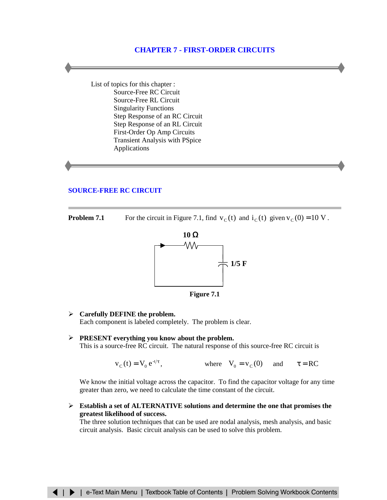List of topics for this chapter : Source-Free RC Circuit [Source-Free RL Circuit](#page-3-0) [Singularity Functions](#page-5-0) [Step Response of an RC Circuit](#page-6-0) [Step Response of an RL Circuit](#page-9-0) [First-Order Op Amp Circuits](#page-11-0) [Transient Analysis with PSpice](#page-13-0) [Applications](#page-15-0)

## **[SOURCE-FREE RC CIRCUIT](#page-1-0)**

**Problem 7.1** For the circuit in Figure 7.1, find  $v_c(t)$  and  $i_c(t)$  given  $v_c(0) = 10$  V.



- ¾ **Carefully DEFINE the problem.** Each component is labeled completely. The problem is clear.
- ¾ **PRESENT everything you know about the problem.** This is a source-free RC circuit. The natural response of this source-free RC circuit is

$$
v_C(t) = V_0 e^{-t/\tau}, \qquad \text{where} \quad V_0 = v_C(0) \quad \text{and} \quad \tau = RC
$$

We know the initial voltage across the capacitor. To find the capacitor voltage for any time greater than zero, we need to calculate the time constant of the circuit.

¾ **Establish a set of ALTERNATIVE solutions and determine the one that promises the greatest likelihood of success.**

The three solution techniques that can be used are nodal analysis, mesh analysis, and basic circuit analysis. Basic circuit analysis can be used to solve this problem.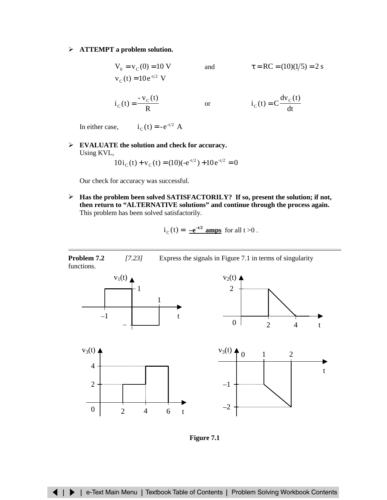# <span id="page-1-0"></span>¾ **ATTEMPT a problem solution.**

$$
V_0 = v_C(0) = 10 \text{ V} \qquad \text{and} \qquad \tau = RC = (10)(1/5) = 2 \text{ s}
$$
  
\n
$$
v_C(t) = 10 e^{-t/2} \text{ V} \qquad \text{or} \qquad \qquad i_C(t) = C \frac{dv_C(t)}{dt}
$$

In either case,  $i_C(t) = -e^{-t/2}$  A

¾ **EVALUATE the solution and check for accuracy.** Using KVL,

$$
10i_{\rm C}(t) + v_{\rm C}(t) = (10)(-e^{-t/2}) + 10e^{-t/2} = 0
$$

Our check for accuracy was successful.

¾ **Has the problem been solved SATISFACTORILY? If so, present the solution; if not, then return to "ALTERNATIVE solutions" and continue through the process again.** This problem has been solved satisfactorily.

$$
i_C(t) = -e^{-t/2} \text{ amps} \text{ for all } t > 0.
$$



**Figure 7.1**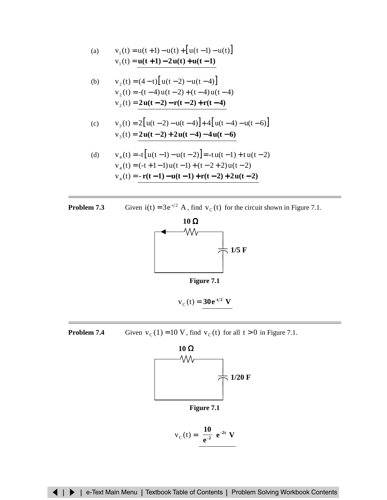(a) 
$$
v_1(t) = u(t+1) - u(t) + [u(t-1) - u(t)]
$$
  
\n $v_1(t) = u(t+1) - 2u(t) + u(t-1)$   
\n(b)  $v_2(t) = (4-t)[u(t-2) - u(t-4)]$   
\n $v_2(t) = -(t-4)u(t-2) + (t-4)u(t-4)$   
\n $v_2(t) = 2u(t-2) - r(t-2) + r(t-4)$   
\n(c)  $v_3(t) = 2[u(t-2) - u(t-4)] + 4[u(t-4) - u(t-6)]$   
\n $v_3(t) = 2u(t-2) + 2u(t-4) - 4u(t-6)$   
\n(d)  $v_4(t) = -t[u(t-1) - u(t-2)] = -tu(t-1) + tu(t-2)$   
\n $v_4(t) = (-t+1-1)u(t-1) + (t-2+2)u(t-2)$   
\n $v_4(t) = -r(t-1) - u(t-1) + r(t-2) + 2u(t-2)$ 

**Problem 7.3** Given  $i(t) = 3e^{-t/2}$  A, find  $v_c(t)$  for the circuit shown in Figure 7.1.



$$
v_C(t) = 30 e^{-t/2} V
$$

**Problem 7.4** Given  $v_c(1) = 10 \text{ V}$ , find  $v_c(t)$  for all  $t > 0$  in Figure 7.1.



$$
v_C(t) = \left(\frac{10}{e^{-2}}\right) e^{-2t} V
$$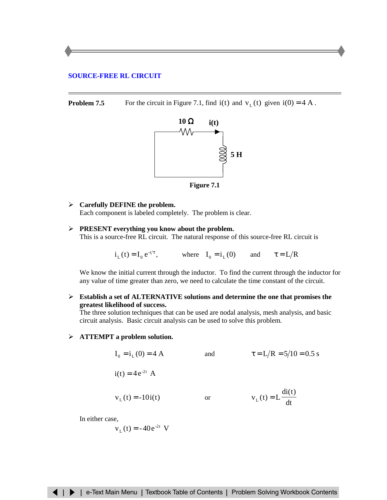### <span id="page-3-0"></span>**[SOURCE-FREE RL CIRCUIT](#page-6-0)**

**Problem 7.5** For the circuit in Figure 7.1, find  $i(t)$  and  $v_{\text{t}}(t)$  given  $i(0) = 4$  A.



- ¾ **Carefully DEFINE the problem.** Each component is labeled completely. The problem is clear.
- ¾ **PRESENT everything you know about the problem.** This is a source-free RL circuit. The natural response of this source-free RL circuit is

 $i_{\text{L}}(t) = I_0 e^{-t/\tau}$ , where  $I_0 = i_{\text{L}}(0)$  and  $\tau = L/R$ 

We know the initial current through the inductor. To find the current through the inductor for any value of time greater than zero, we need to calculate the time constant of the circuit.

¾ **Establish a set of ALTERNATIVE solutions and determine the one that promises the greatest likelihood of success.**

The three solution techniques that can be used are nodal analysis, mesh analysis, and basic circuit analysis. Basic circuit analysis can be used to solve this problem.

¾ **ATTEMPT a problem solution.**

$$
I_0 = i_L(0) = 4 A
$$
 and 
$$
\tau = L/R = 5/10 = 0.5 s
$$
  
\n
$$
i(t) = 4 e^{-2t} A
$$
 or 
$$
v_L(t) = L \frac{di(t)}{dt}
$$

In either case,

$$
v_{L}(t) = -40e^{-2t} V
$$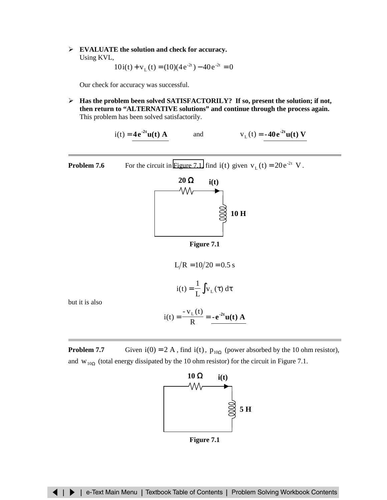¾ **EVALUATE the solution and check for accuracy.** Using KVL,

 $10i(t) + v_L(t) = (10)(4e^{-2t}) - 40e^{-2t} = 0$ 

Our check for accuracy was successful.

¾ **Has the problem been solved SATISFACTORILY? If so, present the solution; if not, then return to "ALTERNATIVE solutions" and continue through the process again.** This problem has been solved satisfactorily.

$$
i(t) = 4e^{-2t}u(t) A \qquad \text{and} \qquad v_{L}(t) = -40e^{-2t}u(t) V
$$

**Problem 7.6** For the circuit in Figure 7.1, find  $i(t)$  given  $v<sub>L</sub>(t) = 20e^{-2t} V$ .





$$
L/R = 10/20 = 0.5 \text{ s}
$$

$$
i(t) = \frac{1}{L} \int v_L(\tau) d\tau
$$

but it is also

$$
i(t) = \frac{-v_{L}(t)}{R} = -e^{-2t}u(t) A
$$

**Problem 7.7** Given  $i(0) = 2 A$ , find  $i(t)$ ,  $p_{10\Omega}$  (power absorbed by the 10 ohm resistor), and  $W_{10\Omega}$  (total energy dissipated by the 10 ohm resistor) for the circuit in Figure 7.1.



**Figure 7.1**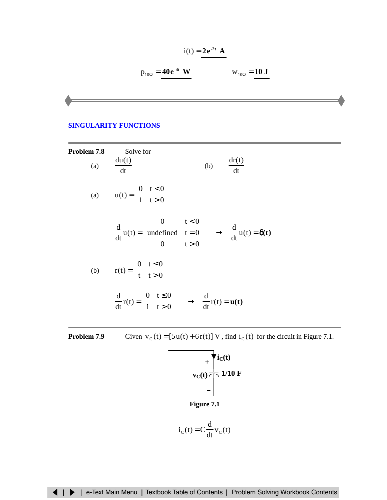$$
i(t) = 2e^{-2t} A
$$

$$
p_{10\Omega} = 40 e^{-4t}
$$
 W  $w_{10\Omega} = 10$  J

# <span id="page-5-0"></span>**[SINGULARITY](#page-12-0) FUNCTIONS**

Problem 7.8 Solve for  
\n(a) 
$$
\frac{du(t)}{dt}
$$
 (b)  $\frac{dr(t)}{dt}$   
\n(a)  $u(t) = \begin{cases} 0 & t < 0 \\ 1 & t > 0 \end{cases}$   
\n $\frac{d}{dt}u(t) = \begin{cases} 0 & t < 0 \\ \text{undefined} & t = 0 \end{cases} \longrightarrow \frac{d}{dt}u(t) = \frac{\delta(t)}{dt}$   
\n(b)  $r(t) = \begin{cases} 0 & t \le 0 \\ t & t > 0 \end{cases}$   
\n $\frac{d}{dt}r(t) = \begin{cases} 0 & t \le 0 \\ 1 & t > 0 \end{cases} \longrightarrow \frac{d}{dt}r(t) = \frac{u(t)}{dt}$ 

**Problem 7.9** Given  $v_c(t) = [5u(t) + 6r(t)]V$ , find  $i_c(t)$  for the circuit in Figure 7.1.





$$
i_C(t) = C \frac{d}{dt} v_C(t)
$$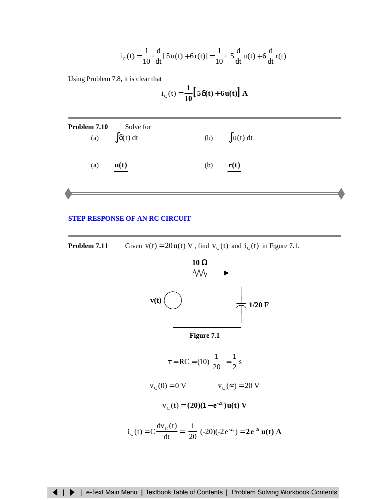$$
i_C(t) = \frac{1}{10} \cdot \frac{d}{dt} [5 u(t) + 6 r(t)] = \frac{1}{10} \cdot \left[ 5 \frac{d}{dt} u(t) + 6 \frac{d}{dt} r(t) \right]
$$

<span id="page-6-0"></span>Using Problem 7.8, it is clear that

$$
i_{\rm C}(t) = \frac{1}{10} \big[ 5\delta(t) + 6u(t) \big] A
$$

| Problem 7.10<br>(a) | Solve for<br>$\int \delta(t) dt$ |     | (b) $\int u(t) dt$ |
|---------------------|----------------------------------|-----|--------------------|
| (a)                 | $\mathbf{u}(\mathbf{t})$         | (b) | $\mathbf{r}(t)$    |

## **STEP RESPONSE OF [AN RC CIRCUIT](#page-20-0)**

**Problem 7.11** Given  $v(t) = 20u(t) V$ , find  $v_c(t)$  and  $i_c(t)$  in Figure 7.1.



**Figure 7.1**

$$
\tau = RC = (10) \left(\frac{1}{20}\right) = \frac{1}{2} s
$$
  

$$
v_C(0) = 0 V \qquad v_C(\infty) = 20 V
$$
  

$$
v_C(t) = \frac{(20)(1 - e^{-2t})u(t) V}{u(t)}
$$
  

$$
i_C(t) = C \frac{dv_C(t)}{dt} = \left(\frac{1}{20}\right) - 20 (-2e^{-2t}) = \frac{2e^{-2t}u(t) A}{u(t) A}
$$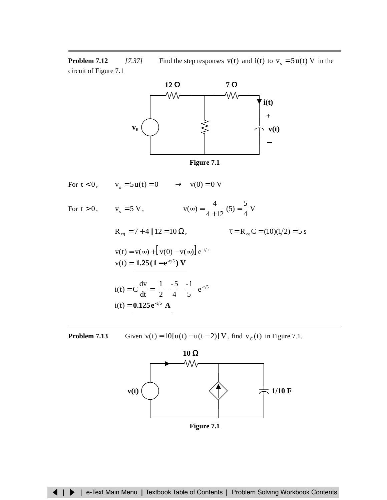**Problem 7.12** *[7.37]* Find the step responses  $v(t)$  and  $i(t)$  to  $v_s = 5u(t) V$  in the circuit of Figure 7.1



**Figure 7.1**

For 
$$
t < 0
$$
,  $v_s = 5u(t) = 0 \longrightarrow v(0) = 0$  V

For  $t > 0$ ,  $v_s = 5 V$ ,  $v(\infty) = \frac{1}{4 + 12} (5) = \frac{1}{4} V$ 5  $\frac{1}{4+12}(5)$ 4  $v(\infty) = \frac{1}{4 + 12} (5) =$ 

$$
R_{eq} = 7 + 4 || 12 = 10 \Omega, \qquad \tau = R_{eq} C = (10)(1/2) = 5 s
$$
  
\n
$$
v(t) = v(\infty) + [v(0) - v(\infty)] e^{-t/\tau}
$$
  
\n
$$
v(t) = 1.25(1 - e^{-t/5}) V
$$
  
\n
$$
i(t) = C \frac{dv}{dt} = \left(\frac{1}{2}\right) \left(\frac{-5}{4}\right) \left(\frac{-1}{5}\right) e^{-t/5}
$$
  
\n
$$
i(t) = 0.125 e^{-t/5} A
$$

**Problem 7.13** Given  $v(t) = 10[u(t) - u(t-2)]V$ , find  $v_c(t)$  in Figure 7.1.



**Figure 7.1**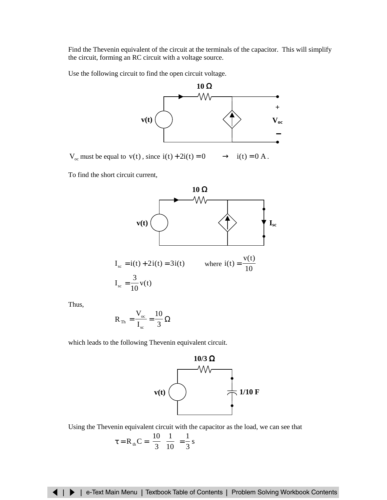Find the Thevenin equivalent of the circuit at the terminals of the capacitor. This will simplify the circuit, forming an RC circuit with a voltage source.

Use the following circuit to find the open circuit voltage.



 $V_{oc}$  must be equal to  $v(t)$ , since  $i(t) + 2i(t) = 0 \longrightarrow i(t) = 0$  A.

To find the short circuit current,



Thus,

$$
R_{\text{Th}} = \frac{V_{\text{oc}}}{I_{\text{sc}}} = \frac{10}{3} \,\Omega
$$

which leads to the following Thevenin equivalent circuit.



Using the Thevenin equivalent circuit with the capacitor as the load, we can see that

$$
\tau = R_{\text{th}}C = \left(\frac{10}{3}\right)\left(\frac{1}{10}\right) = \frac{1}{3} s
$$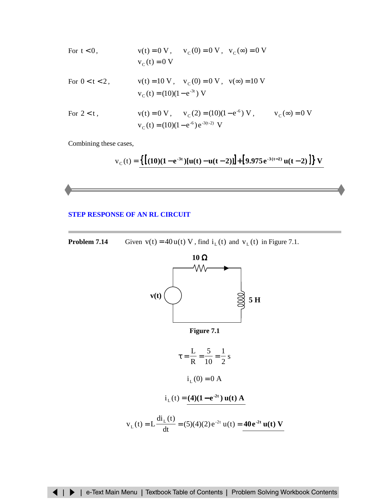<span id="page-9-0"></span>For 
$$
t < 0
$$
,  
\n $v(t) = 0 \text{ V}, v_c(0) = 0 \text{ V}, v_c(\infty) = 0 \text{ V}$   
\n $v_c(t) = 0 \text{ V}$   
\nFor  $0 < t < 2$ ,  
\n $v(t) = 10 \text{ V}, v_c(0) = 0 \text{ V}, v(\infty) = 10 \text{ V}$   
\n $v_c(t) = (10)(1 - e^{-3t}) \text{ V}$ 

For 2 < t,   
\n
$$
v(t) = 0 V, \quad v_C(2) = (10)(1 - e^{-6}) V, \quad v_C(\infty) = 0 V
$$
  
\n $v_C(t) = (10)(1 - e^{-6}) e^{-3(t-2)} V$ 

Combining these cases,

$$
v_C(t) = \left\{ \left[ (10)(1 - e^{-3t}) [u(t) - u(t-2)] \right] + \left[ 9.975 e^{-3(t-2)} u(t-2) \right] \right\} V
$$

## **STEP RESPONSE OF [AN RL CIRCUIT](#page-26-0)**

**Problem 7.14** Given  $v(t) = 40u(t) V$ , find  $i<sub>L</sub>(t)$  and  $v<sub>L</sub>(t)$  in Figure 7.1.



**Figure 7.1**

$$
\tau = \frac{L}{R} = \frac{5}{10} = \frac{1}{2} s
$$

 $i_L(0) = 0 A$ 

$$
i_L(t) = (4)(1 - e^{-2t}) u(t) A
$$

$$
v_L(t) = L \frac{di_L(t)}{dt} = (5)(4)(2) e^{-2t} u(t) = \frac{40 e^{-2t} u(t) V}{}
$$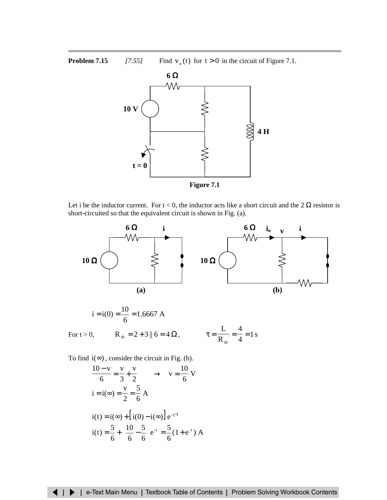**Problem 7.15** *[7.55]* Find  $v_0(t)$  for  $t > 0$  in the circuit of Figure 7.1.



Let i be the inductor current. For  $t < 0$ , the inductor acts like a short circuit and the 2  $\Omega$  resistor is short-circuited so that the equivalent circuit is shown in Fig. (a).



To find  $i(\infty)$ , consider the circuit in Fig. (b).

$$
\frac{10 - v}{6} = \frac{v}{3} + \frac{v}{2} \longrightarrow v = \frac{10}{6} \text{ V}
$$
  
i = i(∞) =  $\frac{v}{2} = \frac{5}{6} \text{ A}$   
i(t) = i(∞) + [i(0) - i(∞)] e<sup>-t/τ</sup>  
i(t) =  $\frac{5}{6} + (\frac{10}{6} - \frac{5}{6})e^{-t} = \frac{5}{6}(1 + e^{-t}) \text{ A}$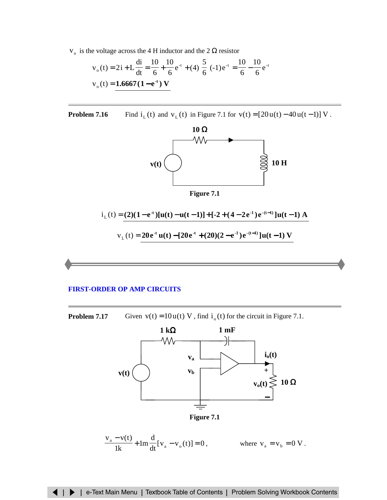<span id="page-11-0"></span> $\mathbf{v}_\mathrm{o}$  is the voltage across the 4 H inductor and the 2  $\Omega$  resistor

$$
v_o(t) = 2i + L\frac{di}{dt} = \frac{10}{6} + \frac{10}{6}e^{-t} + (4)(\frac{5}{6})-1)e^{-t} = \frac{10}{6} - \frac{10}{6}e^{-t}
$$
  
 $v_o(t) = 1.6667(1 - e^{-t}) V$ 

**Problem 7.16** Find  $i_L(t)$  and  $v_L(t)$  in Figure 7.1 for  $v(t) = [20u(t) - 40u(t-1)]V$ .





$$
i_{L}(t) = \frac{(2)(1 - e^{t})[u(t) - u(t-1)] + [-2 + (4 - 2e^{t})e^{-(t-1)}]u(t-1) A}{v_{L}(t) = \frac{20e^{t}u(t) - [20e^{t} + (20)(2 - e^{t})e^{-(t-1)}]u(t-1) V}{v_{L}(t) + (20)(2 - e^{t})e^{-(t-1)}}
$$

## **[FIRST-ORDER OP](#page-31-0) AMP CIRCUITS**

**Problem 7.17** Given  $v(t) = 10u(t) V$ , find  $i_0(t)$  for the circuit in Figure 7.1.



**Figure 7.1**

$$
\frac{v_a - v(t)}{1k} + 1m \frac{d}{dt} [v_a - v_o(t)] = 0, \qquad \text{where } v_a = v_b = 0 V.
$$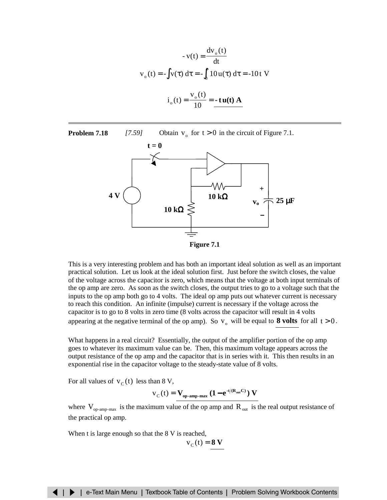$$
-v(t) = \frac{dv_0(t)}{dt}
$$
  

$$
v_0(t) = -\int v(\tau) d\tau = -\int_0^t 10 u(\tau) d\tau = -10t \text{ V}
$$
  

$$
i_0(t) = \frac{v_0(t)}{10} = -t u(t) \text{ A}
$$

<span id="page-12-0"></span>

This is a very interesting problem and has both an important ideal solution as well as an important practical solution. Let us look at the ideal solution first. Just before the switch closes, the value of the voltage across the capacitor is zero, which means that the voltage at both input terminals of the op amp are zero. As soon as the switch closes, the output tries to go to a voltage such that the inputs to the op amp both go to 4 volts. The ideal op amp puts out whatever current is necessary to reach this condition. An infinite (impulse) current is necessary if the voltage across the capacitor is to go to 8 volts in zero time (8 volts across the capacitor will result in 4 volts appearing at the negative terminal of the op amp). So  $v_0$  will be equal to **8 volts** for all  $t > 0$ .

What happens in a real circuit? Essentially, the output of the amplifier portion of the op amp goes to whatever its maximum value can be. Then, this maximum voltage appears across the output resistance of the op amp and the capacitor that is in series with it. This then results in an exponential rise in the capacitor voltage to the steady-state value of 8 volts.

For all values of  $v_c(t)$  less than 8 V,

$$
v_C(t) = \mathbf{V}_{op-amp-max} (1 - e^{-t/(R_{out}C)}) \mathbf{V}
$$

where  $V_{op-amp-max}$  is the maximum value of the op amp and  $R_{out}$  is the real output resistance of the practical op amp.

When t is large enough so that the 8 V is reached,

$$
v_{C}(t) = 8 V
$$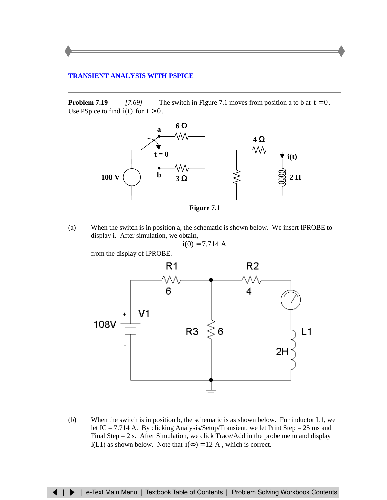#### <span id="page-13-0"></span>**[TRANSIENT ANALYSIS WITH](#page-36-0) PSPICE**

**Problem 7.19** *[7.69]* The switch in Figure 7.1 moves from position a to b at  $t = 0$ . Use PSpice to find  $i(t)$  for  $t > 0$ .



(a) When the switch is in position a, the schematic is shown below. We insert IPROBE to display i. After simulation, we obtain,

$$
i(0) = 7.714
$$
 A

from the display of IPROBE.



(b) When the switch is in position b, the schematic is as shown below. For inductor  $L1$ , we let IC = 7.714 A. By clicking  $\Delta$ nalysis/Setup/Transient, we let Print Step = 25 ms and Final Step  $= 2$  s. After Simulation, we click  $Trace/Add$  in the probe menu and display I(L1) as shown below. Note that  $i(\infty) = 12$  A, which is correct.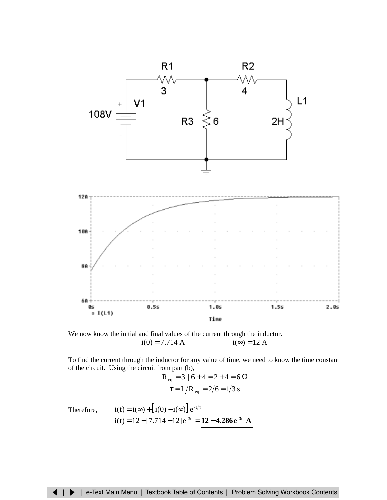

We now know the initial and final values of the current through the inductor.  $i(0) = 7.714$  A  $i(\infty) = 12$  A

To find the current through the inductor for any value of time, we need to know the time constant of the circuit. Using the circuit from part (b),

$$
R_{eq} = 3 || 6 + 4 = 2 + 4 = 6 \Omega
$$
  

$$
\tau = L/R_{eq} = 2/6 = 1/3 s
$$

Therefore,

$$
i(t) = i(\infty) + [i(0) - i(\infty)] e^{-t/\tau}
$$
  
 
$$
i(t) = 12 + [7.714 - 12] e^{-3t} = 12 - 4.286 e^{-3t} A
$$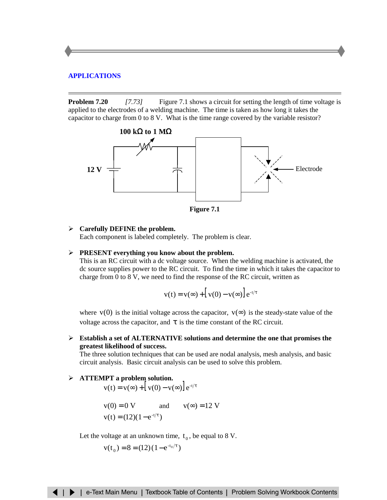## <span id="page-15-0"></span>**[APPLICATIONS](#page-39-0)**

**Problem 7.20** *[7.73]* Figure 7.1 shows a circuit for setting the length of time voltage is applied to the electrodes of a welding machine. The time is taken as how long it takes the capacitor to charge from 0 to 8 V. What is the time range covered by the variable resistor?





#### ¾ **Carefully DEFINE the problem.**

Each component is labeled completely. The problem is clear.

#### ¾ **PRESENT everything you know about the problem.**

This is an RC circuit with a dc voltage source. When the welding machine is activated, the dc source supplies power to the RC circuit. To find the time in which it takes the capacitor to charge from 0 to 8 V, we need to find the response of the RC circuit, written as

$$
v(t) = v(\infty) + [v(0) - v(\infty)] e^{-t/\tau}
$$

where  $v(0)$  is the initial voltage across the capacitor,  $v(\infty)$  is the steady-state value of the voltage across the capacitor, and  $\tau$  is the time constant of the RC circuit.

¾ **Establish a set of ALTERNATIVE solutions and determine the one that promises the greatest likelihood of success.**

The three solution techniques that can be used are nodal analysis, mesh analysis, and basic circuit analysis. Basic circuit analysis can be used to solve this problem.

# ¾ **ATTEMPT a problem solution.**

$$
v(t) = v(\infty) + \left[ v(0) - v(\infty) \right] e^{-t/\tau}
$$

$$
v(0) = 0
$$
 V and  $v(\infty) = 12$  V  
 $v(t) = (12)(1 - e^{-t/\tau})$ 

Let the voltage at an unknown time,  $t_0$ , be equal to 8 V.

$$
v(t_0) = 8 = (12)(1 - e^{-t_0/\tau})
$$